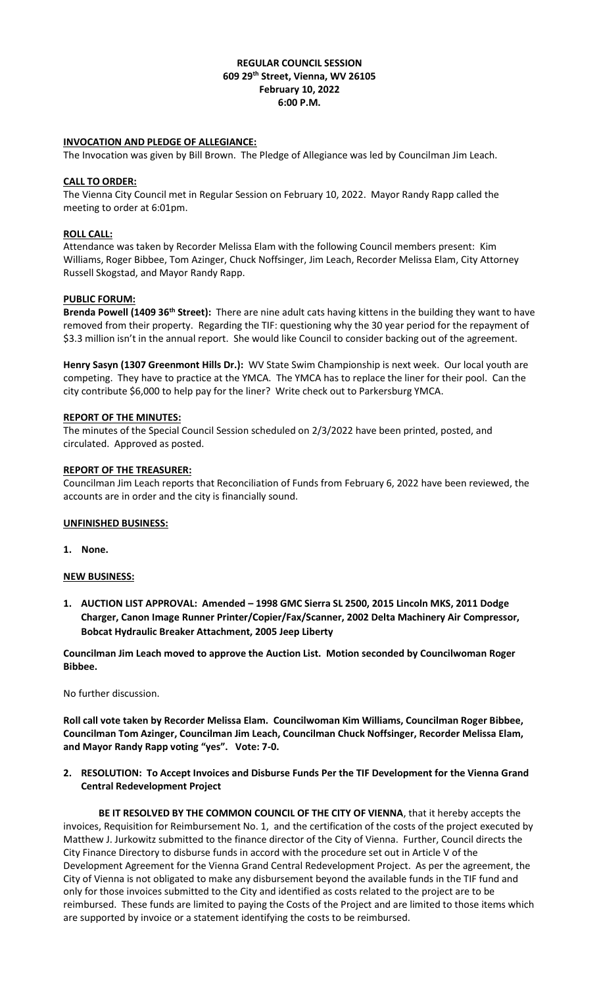## **REGULAR COUNCIL SESSION 609 29th Street, Vienna, WV 26105 February 10, 2022 6:00 P.M.**

## **INVOCATION AND PLEDGE OF ALLEGIANCE:**

The Invocation was given by Bill Brown. The Pledge of Allegiance was led by Councilman Jim Leach.

### **CALL TO ORDER:**

The Vienna City Council met in Regular Session on February 10, 2022. Mayor Randy Rapp called the meeting to order at 6:01pm.

### **ROLL CALL:**

Attendance was taken by Recorder Melissa Elam with the following Council members present: Kim Williams, Roger Bibbee, Tom Azinger, Chuck Noffsinger, Jim Leach, Recorder Melissa Elam, City Attorney Russell Skogstad, and Mayor Randy Rapp.

### **PUBLIC FORUM:**

**Brenda Powell (1409 36th Street):** There are nine adult cats having kittens in the building they want to have removed from their property.Regarding the TIF: questioning why the 30 year period for the repayment of \$3.3 million isn't in the annual report. She would like Council to consider backing out of the agreement.

**Henry Sasyn (1307 Greenmont Hills Dr.):** WV State Swim Championship is next week. Our local youth are competing. They have to practice at the YMCA. The YMCA has to replace the liner for their pool. Can the city contribute \$6,000 to help pay for the liner? Write check out to Parkersburg YMCA.

### **REPORT OF THE MINUTES:**

The minutes of the Special Council Session scheduled on 2/3/2022 have been printed, posted, and circulated. Approved as posted.

### **REPORT OF THE TREASURER:**

Councilman Jim Leach reports that Reconciliation of Funds from February 6, 2022 have been reviewed, the accounts are in order and the city is financially sound.

## **UNFINISHED BUSINESS:**

**1. None.**

#### **NEW BUSINESS:**

**1. AUCTION LIST APPROVAL: Amended – 1998 GMC Sierra SL 2500, 2015 Lincoln MKS, 2011 Dodge Charger, Canon Image Runner Printer/Copier/Fax/Scanner, 2002 Delta Machinery Air Compressor, Bobcat Hydraulic Breaker Attachment, 2005 Jeep Liberty**

**Councilman Jim Leach moved to approve the Auction List. Motion seconded by Councilwoman Roger Bibbee.**

No further discussion.

**Roll call vote taken by Recorder Melissa Elam. Councilwoman Kim Williams, Councilman Roger Bibbee, Councilman Tom Azinger, Councilman Jim Leach, Councilman Chuck Noffsinger, Recorder Melissa Elam, and Mayor Randy Rapp voting "yes". Vote: 7-0.**

**2. RESOLUTION: To Accept Invoices and Disburse Funds Per the TIF Development for the Vienna Grand Central Redevelopment Project**

**BE IT RESOLVED BY THE COMMON COUNCIL OF THE CITY OF VIENNA**, that it hereby accepts the invoices, Requisition for Reimbursement No. 1, and the certification of the costs of the project executed by Matthew J. Jurkowitz submitted to the finance director of the City of Vienna. Further, Council directs the City Finance Directory to disburse funds in accord with the procedure set out in Article V of the Development Agreement for the Vienna Grand Central Redevelopment Project. As per the agreement, the City of Vienna is not obligated to make any disbursement beyond the available funds in the TIF fund and only for those invoices submitted to the City and identified as costs related to the project are to be reimbursed. These funds are limited to paying the Costs of the Project and are limited to those items which are supported by invoice or a statement identifying the costs to be reimbursed.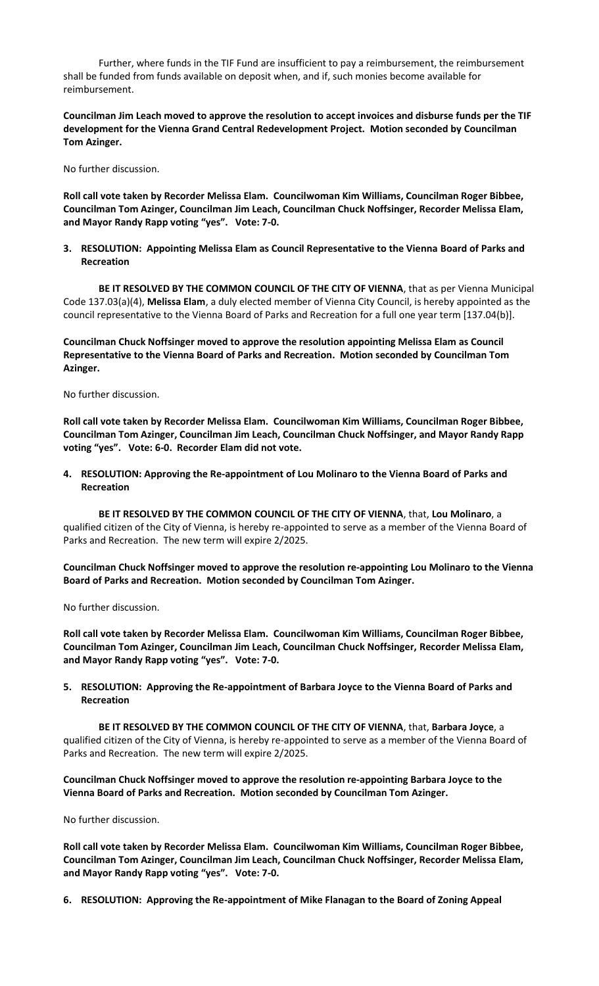Further, where funds in the TIF Fund are insufficient to pay a reimbursement, the reimbursement shall be funded from funds available on deposit when, and if, such monies become available for reimbursement.

**Councilman Jim Leach moved to approve the resolution to accept invoices and disburse funds per the TIF development for the Vienna Grand Central Redevelopment Project. Motion seconded by Councilman Tom Azinger.** 

No further discussion.

**Roll call vote taken by Recorder Melissa Elam. Councilwoman Kim Williams, Councilman Roger Bibbee, Councilman Tom Azinger, Councilman Jim Leach, Councilman Chuck Noffsinger, Recorder Melissa Elam, and Mayor Randy Rapp voting "yes". Vote: 7-0.**

**3. RESOLUTION: Appointing Melissa Elam as Council Representative to the Vienna Board of Parks and Recreation**

BE IT RESOLVED BY THE COMMON COUNCIL OF THE CITY OF VIENNA, that as per Vienna Municipal Code 137.03(a)(4), **Melissa Elam**, a duly elected member of Vienna City Council, is hereby appointed as the council representative to the Vienna Board of Parks and Recreation for a full one year term [137.04(b)].

**Councilman Chuck Noffsinger moved to approve the resolution appointing Melissa Elam as Council Representative to the Vienna Board of Parks and Recreation. Motion seconded by Councilman Tom Azinger.** 

No further discussion.

**Roll call vote taken by Recorder Melissa Elam. Councilwoman Kim Williams, Councilman Roger Bibbee, Councilman Tom Azinger, Councilman Jim Leach, Councilman Chuck Noffsinger, and Mayor Randy Rapp voting "yes". Vote: 6-0. Recorder Elam did not vote.**

**4. RESOLUTION: Approving the Re-appointment of Lou Molinaro to the Vienna Board of Parks and Recreation**

**BE IT RESOLVED BY THE COMMON COUNCIL OF THE CITY OF VIENNA**, that, **Lou Molinaro**, a qualified citizen of the City of Vienna, is hereby re-appointed to serve as a member of the Vienna Board of Parks and Recreation. The new term will expire 2/2025.

**Councilman Chuck Noffsinger moved to approve the resolution re-appointing Lou Molinaro to the Vienna Board of Parks and Recreation. Motion seconded by Councilman Tom Azinger.** 

No further discussion.

**Roll call vote taken by Recorder Melissa Elam. Councilwoman Kim Williams, Councilman Roger Bibbee, Councilman Tom Azinger, Councilman Jim Leach, Councilman Chuck Noffsinger, Recorder Melissa Elam, and Mayor Randy Rapp voting "yes". Vote: 7-0.** 

**5. RESOLUTION: Approving the Re-appointment of Barbara Joyce to the Vienna Board of Parks and Recreation**

**BE IT RESOLVED BY THE COMMON COUNCIL OF THE CITY OF VIENNA**, that, **Barbara Joyce**, a qualified citizen of the City of Vienna, is hereby re-appointed to serve as a member of the Vienna Board of Parks and Recreation. The new term will expire 2/2025.

**Councilman Chuck Noffsinger moved to approve the resolution re-appointing Barbara Joyce to the Vienna Board of Parks and Recreation. Motion seconded by Councilman Tom Azinger.** 

No further discussion.

**Roll call vote taken by Recorder Melissa Elam. Councilwoman Kim Williams, Councilman Roger Bibbee, Councilman Tom Azinger, Councilman Jim Leach, Councilman Chuck Noffsinger, Recorder Melissa Elam, and Mayor Randy Rapp voting "yes". Vote: 7-0.** 

**6. RESOLUTION: Approving the Re-appointment of Mike Flanagan to the Board of Zoning Appeal**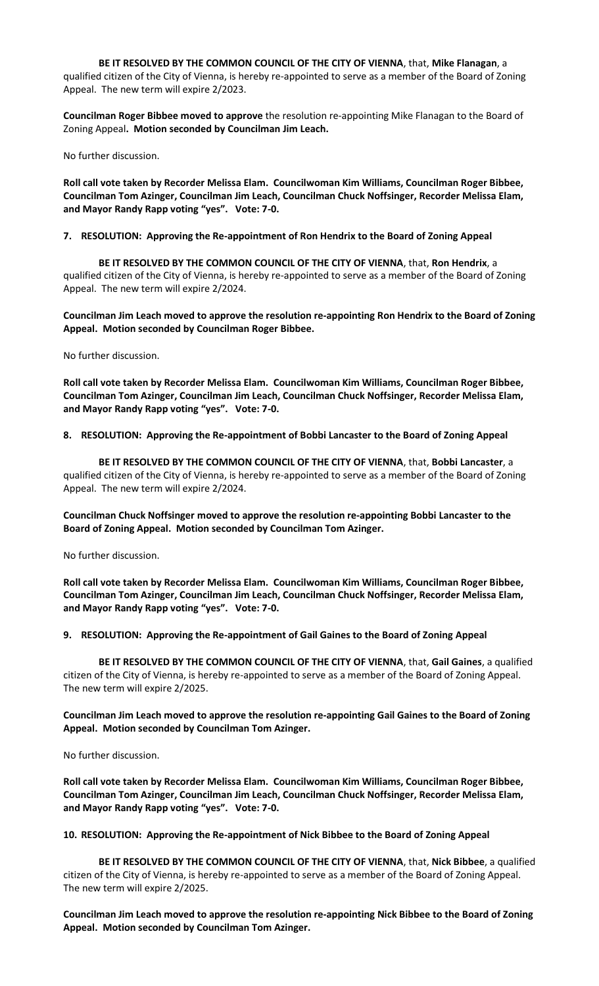**BE IT RESOLVED BY THE COMMON COUNCIL OF THE CITY OF VIENNA**, that, **Mike Flanagan**, a

qualified citizen of the City of Vienna, is hereby re-appointed to serve as a member of the Board of Zoning Appeal. The new term will expire 2/2023.

**Councilman Roger Bibbee moved to approve** the resolution re-appointing Mike Flanagan to the Board of Zoning Appeal**. Motion seconded by Councilman Jim Leach.** 

No further discussion.

**Roll call vote taken by Recorder Melissa Elam. Councilwoman Kim Williams, Councilman Roger Bibbee, Councilman Tom Azinger, Councilman Jim Leach, Councilman Chuck Noffsinger, Recorder Melissa Elam, and Mayor Randy Rapp voting "yes". Vote: 7-0.** 

### **7. RESOLUTION: Approving the Re-appointment of Ron Hendrix to the Board of Zoning Appeal**

**BE IT RESOLVED BY THE COMMON COUNCIL OF THE CITY OF VIENNA**, that, **Ron Hendrix**, a qualified citizen of the City of Vienna, is hereby re-appointed to serve as a member of the Board of Zoning Appeal. The new term will expire 2/2024.

**Councilman Jim Leach moved to approve the resolution re-appointing Ron Hendrix to the Board of Zoning Appeal. Motion seconded by Councilman Roger Bibbee.** 

No further discussion.

**Roll call vote taken by Recorder Melissa Elam. Councilwoman Kim Williams, Councilman Roger Bibbee, Councilman Tom Azinger, Councilman Jim Leach, Councilman Chuck Noffsinger, Recorder Melissa Elam, and Mayor Randy Rapp voting "yes". Vote: 7-0.** 

# **8. RESOLUTION: Approving the Re-appointment of Bobbi Lancaster to the Board of Zoning Appeal**

**BE IT RESOLVED BY THE COMMON COUNCIL OF THE CITY OF VIENNA**, that, **Bobbi Lancaster**, a qualified citizen of the City of Vienna, is hereby re-appointed to serve as a member of the Board of Zoning Appeal. The new term will expire 2/2024.

**Councilman Chuck Noffsinger moved to approve the resolution re-appointing Bobbi Lancaster to the Board of Zoning Appeal. Motion seconded by Councilman Tom Azinger.** 

No further discussion.

**Roll call vote taken by Recorder Melissa Elam. Councilwoman Kim Williams, Councilman Roger Bibbee, Councilman Tom Azinger, Councilman Jim Leach, Councilman Chuck Noffsinger, Recorder Melissa Elam, and Mayor Randy Rapp voting "yes". Vote: 7-0.** 

**9. RESOLUTION: Approving the Re-appointment of Gail Gaines to the Board of Zoning Appeal**

**BE IT RESOLVED BY THE COMMON COUNCIL OF THE CITY OF VIENNA**, that, **Gail Gaines**, a qualified citizen of the City of Vienna, is hereby re-appointed to serve as a member of the Board of Zoning Appeal. The new term will expire 2/2025.

**Councilman Jim Leach moved to approve the resolution re-appointing Gail Gaines to the Board of Zoning Appeal. Motion seconded by Councilman Tom Azinger.** 

No further discussion.

**Roll call vote taken by Recorder Melissa Elam. Councilwoman Kim Williams, Councilman Roger Bibbee, Councilman Tom Azinger, Councilman Jim Leach, Councilman Chuck Noffsinger, Recorder Melissa Elam, and Mayor Randy Rapp voting "yes". Vote: 7-0.** 

**10. RESOLUTION: Approving the Re-appointment of Nick Bibbee to the Board of Zoning Appeal**

**BE IT RESOLVED BY THE COMMON COUNCIL OF THE CITY OF VIENNA**, that, **Nick Bibbee**, a qualified citizen of the City of Vienna, is hereby re-appointed to serve as a member of the Board of Zoning Appeal. The new term will expire 2/2025.

**Councilman Jim Leach moved to approve the resolution re-appointing Nick Bibbee to the Board of Zoning Appeal. Motion seconded by Councilman Tom Azinger.**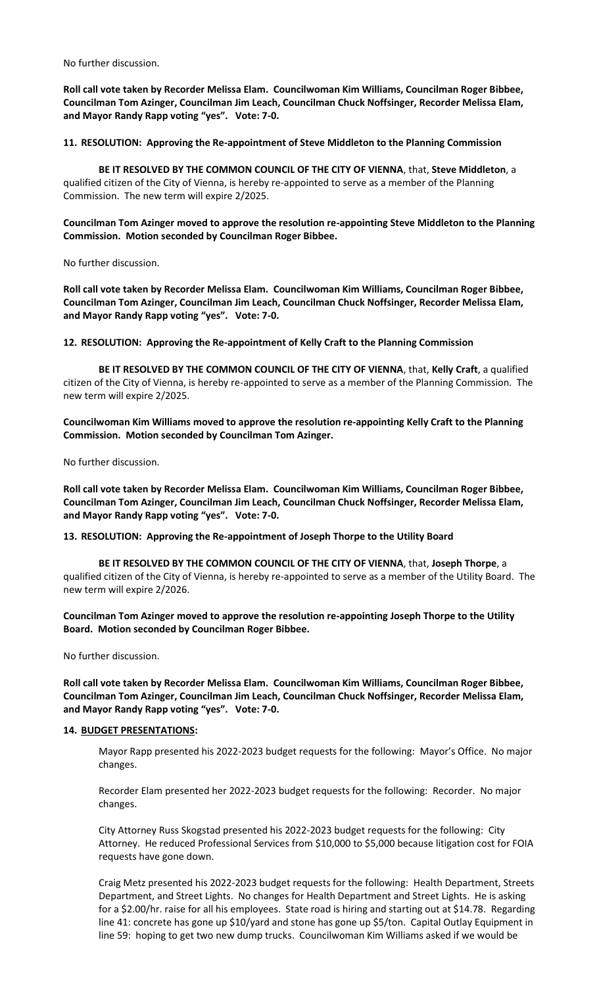No further discussion.

**Roll call vote taken by Recorder Melissa Elam. Councilwoman Kim Williams, Councilman Roger Bibbee, Councilman Tom Azinger, Councilman Jim Leach, Councilman Chuck Noffsinger, Recorder Melissa Elam, and Mayor Randy Rapp voting "yes". Vote: 7-0.** 

**11. RESOLUTION: Approving the Re-appointment of Steve Middleton to the Planning Commission**

**BE IT RESOLVED BY THE COMMON COUNCIL OF THE CITY OF VIENNA**, that, **Steve Middleton**, a qualified citizen of the City of Vienna, is hereby re-appointed to serve as a member of the Planning Commission. The new term will expire 2/2025.

**Councilman Tom Azinger moved to approve the resolution re-appointing Steve Middleton to the Planning Commission. Motion seconded by Councilman Roger Bibbee.** 

No further discussion.

**Roll call vote taken by Recorder Melissa Elam. Councilwoman Kim Williams, Councilman Roger Bibbee, Councilman Tom Azinger, Councilman Jim Leach, Councilman Chuck Noffsinger, Recorder Melissa Elam, and Mayor Randy Rapp voting "yes". Vote: 7-0.** 

**12. RESOLUTION: Approving the Re-appointment of Kelly Craft to the Planning Commission**

**BE IT RESOLVED BY THE COMMON COUNCIL OF THE CITY OF VIENNA**, that, **Kelly Craft**, a qualified citizen of the City of Vienna, is hereby re-appointed to serve as a member of the Planning Commission. The new term will expire 2/2025.

**Councilwoman Kim Williams moved to approve the resolution re-appointing Kelly Craft to the Planning Commission. Motion seconded by Councilman Tom Azinger.** 

No further discussion.

**Roll call vote taken by Recorder Melissa Elam. Councilwoman Kim Williams, Councilman Roger Bibbee, Councilman Tom Azinger, Councilman Jim Leach, Councilman Chuck Noffsinger, Recorder Melissa Elam, and Mayor Randy Rapp voting "yes". Vote: 7-0.**

## **13. RESOLUTION: Approving the Re-appointment of Joseph Thorpe to the Utility Board**

**BE IT RESOLVED BY THE COMMON COUNCIL OF THE CITY OF VIENNA**, that, **Joseph Thorpe**, a qualified citizen of the City of Vienna, is hereby re-appointed to serve as a member of the Utility Board. The new term will expire 2/2026.

**Councilman Tom Azinger moved to approve the resolution re-appointing Joseph Thorpe to the Utility Board. Motion seconded by Councilman Roger Bibbee.** 

No further discussion.

**Roll call vote taken by Recorder Melissa Elam. Councilwoman Kim Williams, Councilman Roger Bibbee, Councilman Tom Azinger, Councilman Jim Leach, Councilman Chuck Noffsinger, Recorder Melissa Elam, and Mayor Randy Rapp voting "yes". Vote: 7-0.**

### **14. BUDGET PRESENTATIONS:**

Mayor Rapp presented his 2022-2023 budget requests for the following: Mayor's Office. No major changes.

Recorder Elam presented her 2022-2023 budget requests for the following: Recorder. No major changes.

City Attorney Russ Skogstad presented his 2022-2023 budget requests for the following: City Attorney. He reduced Professional Services from \$10,000 to \$5,000 because litigation cost for FOIA requests have gone down.

Craig Metz presented his 2022-2023 budget requests for the following: Health Department, Streets Department, and Street Lights. No changes for Health Department and Street Lights. He is asking for a \$2.00/hr. raise for all his employees. State road is hiring and starting out at \$14.78. Regarding line 41: concrete has gone up \$10/yard and stone has gone up \$5/ton. Capital Outlay Equipment in line 59: hoping to get two new dump trucks. Councilwoman Kim Williams asked if we would be